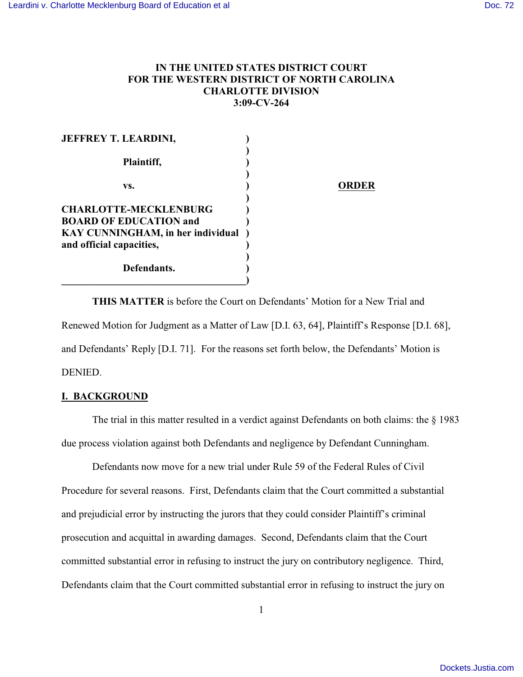## **IN THE UNITED STATES DISTRICT COURT FOR THE WESTERN DISTRICT OF NORTH CAROLINA CHARLOTTE DIVISION 3:09-CV-264**

| <b>JEFFREY T. LEARDINI,</b>       |     |
|-----------------------------------|-----|
| Plaintiff,                        |     |
| VS.                               | ORD |
| <b>CHARLOTTE-MECKLENBURG</b>      |     |
| <b>BOARD OF EDUCATION and</b>     |     |
| KAY CUNNINGHAM, in her individual |     |
| and official capacities,          |     |
| Defendants.                       |     |

**THIS MATTER** is before the Court on Defendants' Motion for a New Trial and Renewed Motion for Judgment as a Matter of Law [D.I. 63, 64], Plaintiff's Response [D.I. 68], and Defendants' Reply [D.I. 71]. For the reasons set forth below, the Defendants' Motion is DENIED.

## **I. BACKGROUND**

The trial in this matter resulted in a verdict against Defendants on both claims: the § 1983 due process violation against both Defendants and negligence by Defendant Cunningham.

Defendants now move for a new trial under Rule 59 of the Federal Rules of Civil Procedure for several reasons. First, Defendants claim that the Court committed a substantial and prejudicial error by instructing the jurors that they could consider Plaintiff's criminal prosecution and acquittal in awarding damages. Second, Defendants claim that the Court committed substantial error in refusing to instruct the jury on contributory negligence. Third, Defendants claim that the Court committed substantial error in refusing to instruct the jury on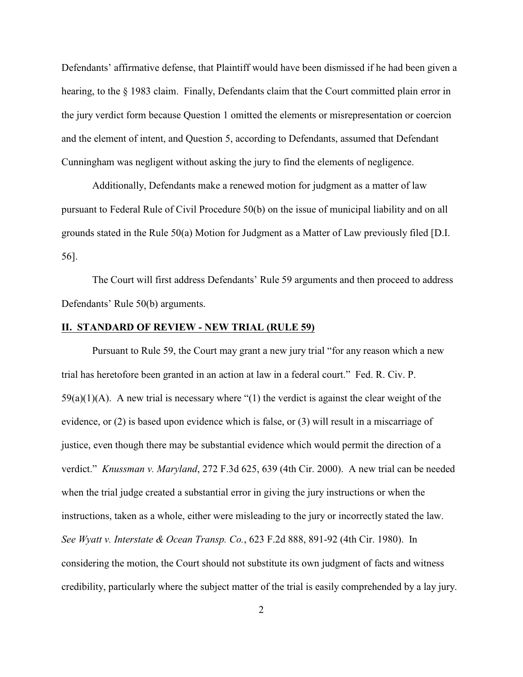Defendants' affirmative defense, that Plaintiff would have been dismissed if he had been given a hearing, to the § 1983 claim. Finally, Defendants claim that the Court committed plain error in the jury verdict form because Question 1 omitted the elements or misrepresentation or coercion and the element of intent, and Question 5, according to Defendants, assumed that Defendant Cunningham was negligent without asking the jury to find the elements of negligence.

Additionally, Defendants make a renewed motion for judgment as a matter of law pursuant to Federal Rule of Civil Procedure 50(b) on the issue of municipal liability and on all grounds stated in the Rule 50(a) Motion for Judgment as a Matter of Law previously filed [D.I. 56].

The Court will first address Defendants' Rule 59 arguments and then proceed to address Defendants' Rule 50(b) arguments.

## **II. STANDARD OF REVIEW - NEW TRIAL (RULE 59)**

Pursuant to Rule 59, the Court may grant a new jury trial "for any reason which a new trial has heretofore been granted in an action at law in a federal court." Fed. R. Civ. P.  $59(a)(1)(A)$ . A new trial is necessary where "(1) the verdict is against the clear weight of the evidence, or (2) is based upon evidence which is false, or (3) will result in a miscarriage of justice, even though there may be substantial evidence which would permit the direction of a verdict." *Knussman v. Maryland*, 272 F.3d 625, 639 (4th Cir. 2000). A new trial can be needed when the trial judge created a substantial error in giving the jury instructions or when the instructions, taken as a whole, either were misleading to the jury or incorrectly stated the law. *See Wyatt v. Interstate & Ocean Transp. Co.*, 623 F.2d 888, 891-92 (4th Cir. 1980). In considering the motion, the Court should not substitute its own judgment of facts and witness credibility, particularly where the subject matter of the trial is easily comprehended by a lay jury.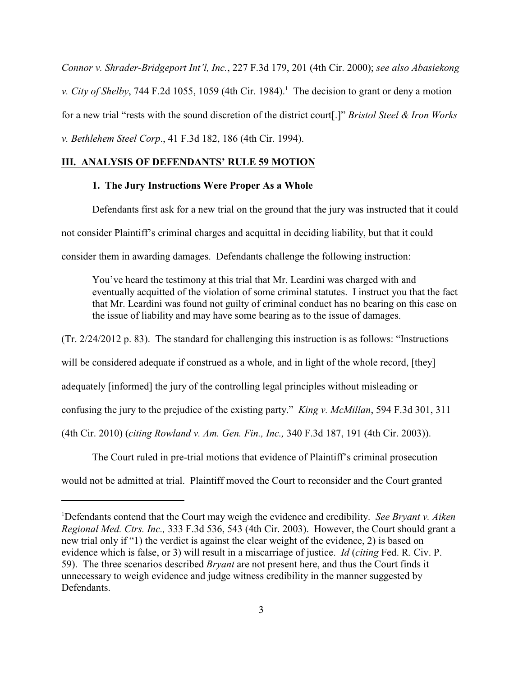*Connor v. Shrader-Bridgeport Int'l, Inc.*, 227 F.3d 179, 201 (4th Cir. 2000); *see also Abasiekong v. City of Shelby*, 744 F.2d 1055, 1059 (4th Cir. 1984).<sup>1</sup> The decision to grant or deny a motion for a new trial "rests with the sound discretion of the district court[.]" *Bristol Steel & Iron Works v. Bethlehem Steel Corp*., 41 F.3d 182, 186 (4th Cir. 1994).

## **III. ANALYSIS OF DEFENDANTS' RULE 59 MOTION**

## **1. The Jury Instructions Were Proper As a Whole**

Defendants first ask for a new trial on the ground that the jury was instructed that it could not consider Plaintiff's criminal charges and acquittal in deciding liability, but that it could consider them in awarding damages. Defendants challenge the following instruction:

You've heard the testimony at this trial that Mr. Leardini was charged with and eventually acquitted of the violation of some criminal statutes. I instruct you that the fact that Mr. Leardini was found not guilty of criminal conduct has no bearing on this case on the issue of liability and may have some bearing as to the issue of damages.

(Tr. 2/24/2012 p. 83). The standard for challenging this instruction is as follows: "Instructions will be considered adequate if construed as a whole, and in light of the whole record, [they] adequately [informed] the jury of the controlling legal principles without misleading or confusing the jury to the prejudice of the existing party." *King v. McMillan*, 594 F.3d 301, 311 (4th Cir. 2010) (*citing Rowland v. Am. Gen. Fin., Inc.,* 340 F.3d 187, 191 (4th Cir. 2003)).

The Court ruled in pre-trial motions that evidence of Plaintiff's criminal prosecution would not be admitted at trial. Plaintiff moved the Court to reconsider and the Court granted

Defendants contend that the Court may weigh the evidence and credibility. *See Bryant v. Aiken* 1 *Regional Med. Ctrs. Inc.,* 333 F.3d 536, 543 (4th Cir. 2003). However, the Court should grant a new trial only if "1) the verdict is against the clear weight of the evidence, 2) is based on evidence which is false, or 3) will result in a miscarriage of justice. *Id* (*citing* Fed. R. Civ. P. 59). The three scenarios described *Bryant* are not present here, and thus the Court finds it unnecessary to weigh evidence and judge witness credibility in the manner suggested by Defendants.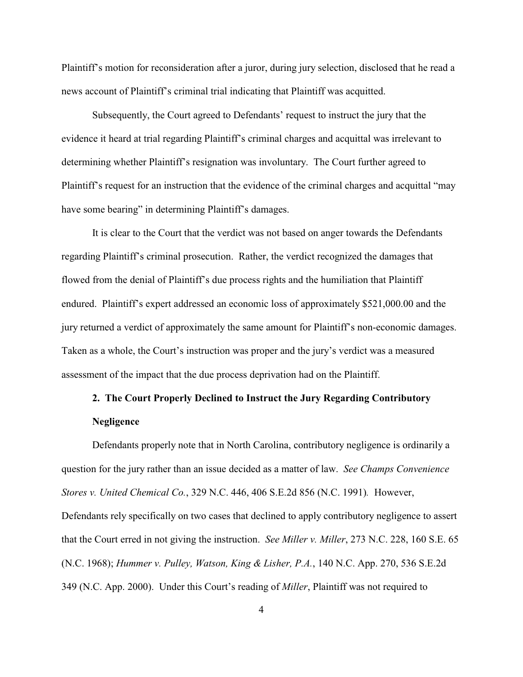Plaintiff's motion for reconsideration after a juror, during jury selection, disclosed that he read a news account of Plaintiff's criminal trial indicating that Plaintiff was acquitted.

Subsequently, the Court agreed to Defendants' request to instruct the jury that the evidence it heard at trial regarding Plaintiff's criminal charges and acquittal was irrelevant to determining whether Plaintiff's resignation was involuntary. The Court further agreed to Plaintiff's request for an instruction that the evidence of the criminal charges and acquittal "may have some bearing" in determining Plaintiff's damages.

It is clear to the Court that the verdict was not based on anger towards the Defendants regarding Plaintiff's criminal prosecution. Rather, the verdict recognized the damages that flowed from the denial of Plaintiff's due process rights and the humiliation that Plaintiff endured. Plaintiff's expert addressed an economic loss of approximately \$521,000.00 and the jury returned a verdict of approximately the same amount for Plaintiff's non-economic damages. Taken as a whole, the Court's instruction was proper and the jury's verdict was a measured assessment of the impact that the due process deprivation had on the Plaintiff.

# **2. The Court Properly Declined to Instruct the Jury Regarding Contributory Negligence**

Defendants properly note that in North Carolina, contributory negligence is ordinarily a question for the jury rather than an issue decided as a matter of law. *See Champs Convenience Stores v. United Chemical Co.*, 329 N.C. 446, 406 S.E.2d 856 (N.C. 1991)*.* However, Defendants rely specifically on two cases that declined to apply contributory negligence to assert that the Court erred in not giving the instruction. *See Miller v. Miller*, 273 N.C. 228, 160 S.E. 65 (N.C. 1968); *Hummer v. Pulley, Watson, King & Lisher, P.A.*, 140 N.C. App. 270, 536 S.E.2d 349 (N.C. App. 2000). Under this Court's reading of *Miller*, Plaintiff was not required to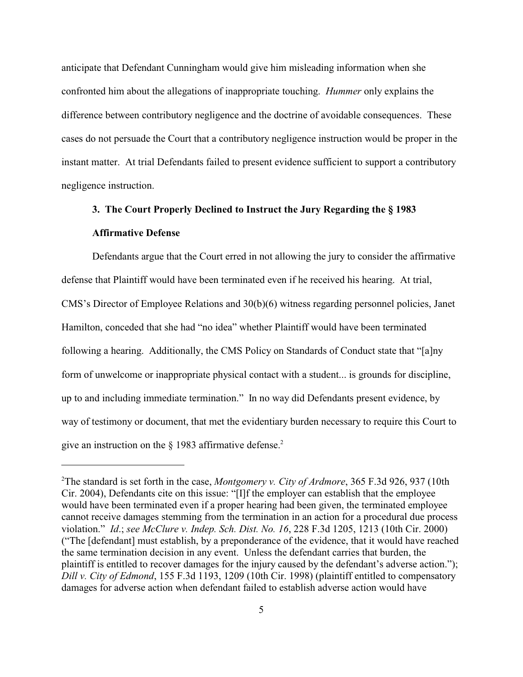anticipate that Defendant Cunningham would give him misleading information when she confronted him about the allegations of inappropriate touching. *Hummer* only explains the difference between contributory negligence and the doctrine of avoidable consequences. These cases do not persuade the Court that a contributory negligence instruction would be proper in the instant matter. At trial Defendants failed to present evidence sufficient to support a contributory negligence instruction.

## **3. The Court Properly Declined to Instruct the Jury Regarding the § 1983 Affirmative Defense**

Defendants argue that the Court erred in not allowing the jury to consider the affirmative defense that Plaintiff would have been terminated even if he received his hearing. At trial, CMS's Director of Employee Relations and 30(b)(6) witness regarding personnel policies, Janet Hamilton, conceded that she had "no idea" whether Plaintiff would have been terminated following a hearing. Additionally, the CMS Policy on Standards of Conduct state that "[a]ny form of unwelcome or inappropriate physical contact with a student... is grounds for discipline, up to and including immediate termination." In no way did Defendants present evidence, by way of testimony or document, that met the evidentiary burden necessary to require this Court to give an instruction on the  $\S$  1983 affirmative defense.<sup>2</sup>

<sup>&</sup>lt;sup>2</sup>The standard is set forth in the case, *Montgomery v. City of Ardmore*, 365 F.3d 926, 937 (10th Cir. 2004), Defendants cite on this issue: "[I]f the employer can establish that the employee would have been terminated even if a proper hearing had been given, the terminated employee cannot receive damages stemming from the termination in an action for a procedural due process violation." *Id*.; *see McClure v. Indep. Sch. Dist. No. 16*, 228 F.3d 1205, 1213 (10th Cir. 2000) ("The [defendant] must establish, by a preponderance of the evidence, that it would have reached the same termination decision in any event. Unless the defendant carries that burden, the plaintiff is entitled to recover damages for the injury caused by the defendant's adverse action."); *Dill v. City of Edmond*, 155 F.3d 1193, 1209 (10th Cir. 1998) (plaintiff entitled to compensatory damages for adverse action when defendant failed to establish adverse action would have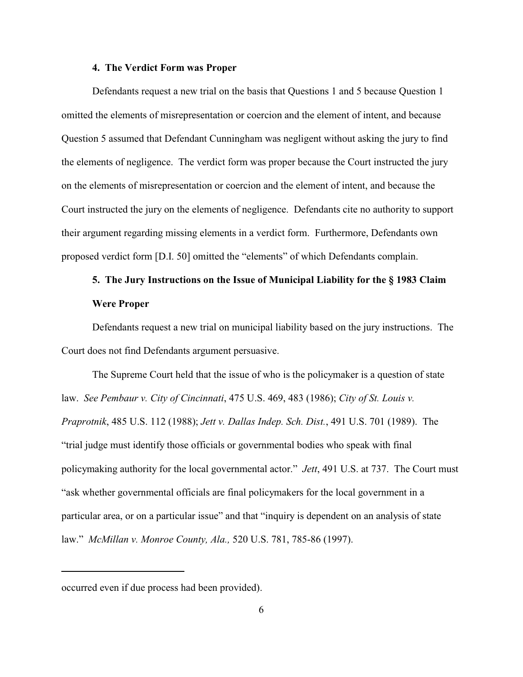#### **4. The Verdict Form was Proper**

Defendants request a new trial on the basis that Questions 1 and 5 because Question 1 omitted the elements of misrepresentation or coercion and the element of intent, and because Question 5 assumed that Defendant Cunningham was negligent without asking the jury to find the elements of negligence. The verdict form was proper because the Court instructed the jury on the elements of misrepresentation or coercion and the element of intent, and because the Court instructed the jury on the elements of negligence. Defendants cite no authority to support their argument regarding missing elements in a verdict form. Furthermore, Defendants own proposed verdict form [D.I. 50] omitted the "elements" of which Defendants complain.

# **5. The Jury Instructions on the Issue of Municipal Liability for the § 1983 Claim Were Proper**

Defendants request a new trial on municipal liability based on the jury instructions. The Court does not find Defendants argument persuasive.

The Supreme Court held that the issue of who is the policymaker is a question of state law. *See Pembaur v. City of Cincinnati*, 475 U.S. 469, 483 (1986); *City of St. Louis v. Praprotnik*, 485 U.S. 112 (1988); *Jett v. Dallas Indep. Sch. Dist.*, 491 U.S. 701 (1989). The "trial judge must identify those officials or governmental bodies who speak with final policymaking authority for the local governmental actor." *Jett*, 491 U.S. at 737. The Court must "ask whether governmental officials are final policymakers for the local government in a particular area, or on a particular issue" and that "inquiry is dependent on an analysis of state law." *McMillan v. Monroe County, Ala.,* 520 U.S. 781, 785-86 (1997).

occurred even if due process had been provided).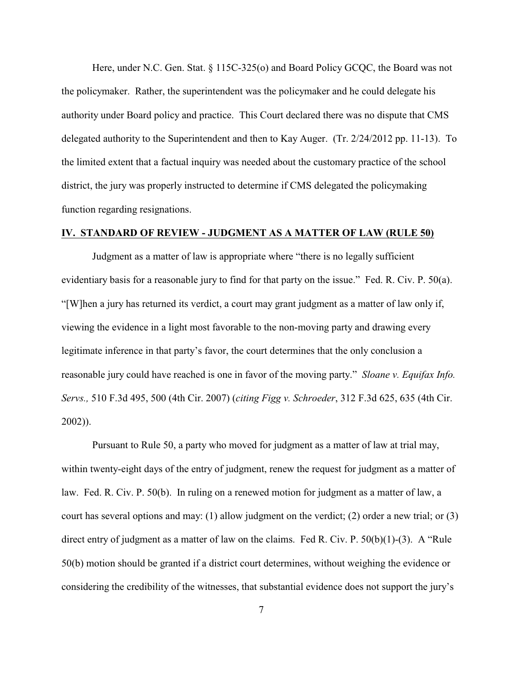Here, under N.C. Gen. Stat. § 115C-325(o) and Board Policy GCQC, the Board was not the policymaker. Rather, the superintendent was the policymaker and he could delegate his authority under Board policy and practice. This Court declared there was no dispute that CMS delegated authority to the Superintendent and then to Kay Auger. (Tr. 2/24/2012 pp. 11-13). To the limited extent that a factual inquiry was needed about the customary practice of the school district, the jury was properly instructed to determine if CMS delegated the policymaking function regarding resignations.

## **IV. STANDARD OF REVIEW - JUDGMENT AS A MATTER OF LAW (RULE 50)**

Judgment as a matter of law is appropriate where "there is no legally sufficient evidentiary basis for a reasonable jury to find for that party on the issue." Fed. R. Civ. P. 50(a). "[W]hen a jury has returned its verdict, a court may grant judgment as a matter of law only if, viewing the evidence in a light most favorable to the non-moving party and drawing every legitimate inference in that party's favor, the court determines that the only conclusion a reasonable jury could have reached is one in favor of the moving party." *Sloane v. Equifax Info. Servs.,* 510 F.3d 495, 500 (4th Cir. 2007) (*citing Figg v. Schroeder*, 312 F.3d 625, 635 (4th Cir. 2002)).

Pursuant to Rule 50, a party who moved for judgment as a matter of law at trial may, within twenty-eight days of the entry of judgment, renew the request for judgment as a matter of law. Fed. R. Civ. P. 50(b). In ruling on a renewed motion for judgment as a matter of law, a court has several options and may: (1) allow judgment on the verdict; (2) order a new trial; or (3) direct entry of judgment as a matter of law on the claims. Fed R. Civ. P. 50(b)(1)-(3). A "Rule 50(b) motion should be granted if a district court determines, without weighing the evidence or considering the credibility of the witnesses, that substantial evidence does not support the jury's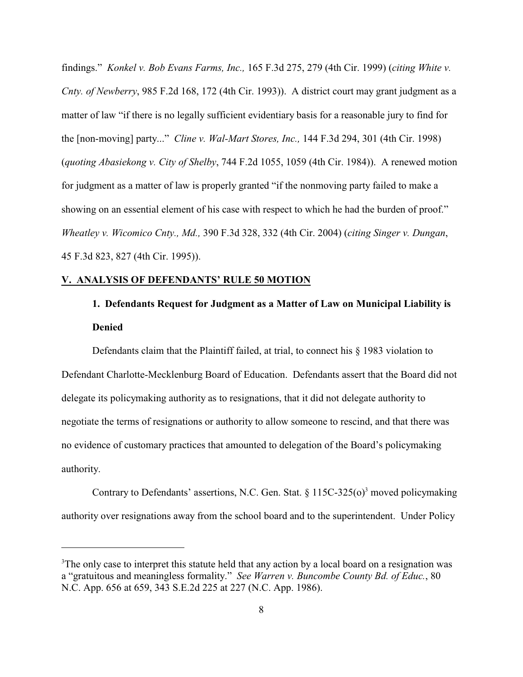findings." *Konkel v. Bob Evans Farms, Inc.,* 165 F.3d 275, 279 (4th Cir. 1999) (*citing White v. Cnty. of Newberry*, 985 F.2d 168, 172 (4th Cir. 1993)). A district court may grant judgment as a matter of law "if there is no legally sufficient evidentiary basis for a reasonable jury to find for the [non-moving] party..." *Cline v. Wal-Mart Stores, Inc.,* 144 F.3d 294, 301 (4th Cir. 1998) (*quoting Abasiekong v. City of Shelby*, 744 F.2d 1055, 1059 (4th Cir. 1984)). A renewed motion for judgment as a matter of law is properly granted "if the nonmoving party failed to make a showing on an essential element of his case with respect to which he had the burden of proof." *Wheatley v. Wicomico Cnty., Md.,* 390 F.3d 328, 332 (4th Cir. 2004) (*citing Singer v. Dungan*, 45 F.3d 823, 827 (4th Cir. 1995)).

#### **V. ANALYSIS OF DEFENDANTS' RULE 50 MOTION**

## **1. Defendants Request for Judgment as a Matter of Law on Municipal Liability is Denied**

Defendants claim that the Plaintiff failed, at trial, to connect his § 1983 violation to Defendant Charlotte-Mecklenburg Board of Education. Defendants assert that the Board did not delegate its policymaking authority as to resignations, that it did not delegate authority to negotiate the terms of resignations or authority to allow someone to rescind, and that there was no evidence of customary practices that amounted to delegation of the Board's policymaking authority.

Contrary to Defendants' assertions, N.C. Gen. Stat.  $\S 115C-325(0)^3$  moved policymaking authority over resignations away from the school board and to the superintendent. Under Policy

<sup>&</sup>lt;sup>3</sup>The only case to interpret this statute held that any action by a local board on a resignation was a "gratuitous and meaningless formality." *See Warren v. Buncombe County Bd. of Educ.*, 80 N.C. App. 656 at 659, 343 S.E.2d 225 at 227 (N.C. App. 1986).